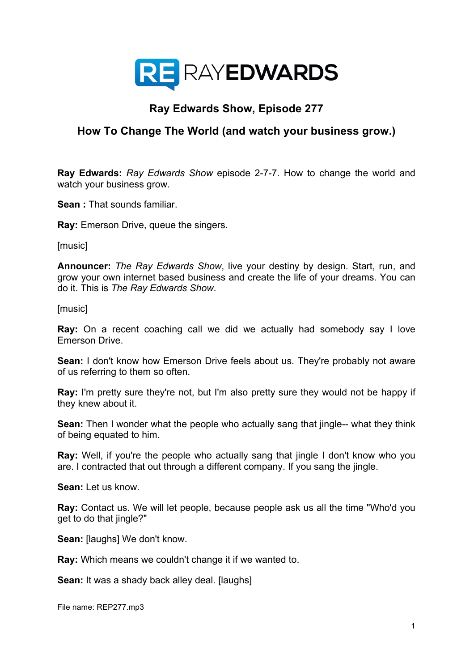

# **Ray Edwards Show, Episode 277**

## **How To Change The World (and watch your business grow.)**

**Ray Edwards:** *Ray Edwards Show* episode 2-7-7. How to change the world and watch your business grow.

**Sean :** That sounds familiar.

**Ray:** Emerson Drive, queue the singers.

[music]

**Announcer:** *The Ray Edwards Show*, live your destiny by design. Start, run, and grow your own internet based business and create the life of your dreams. You can do it. This is *The Ray Edwards Show*.

[music]

**Ray:** On a recent coaching call we did we actually had somebody say I love Emerson Drive.

**Sean:** I don't know how Emerson Drive feels about us. They're probably not aware of us referring to them so often.

**Ray:** I'm pretty sure they're not, but I'm also pretty sure they would not be happy if they knew about it.

**Sean:** Then I wonder what the people who actually sang that jingle-- what they think of being equated to him.

**Ray:** Well, if you're the people who actually sang that jingle I don't know who you are. I contracted that out through a different company. If you sang the jingle.

**Sean:** Let us know.

**Ray:** Contact us. We will let people, because people ask us all the time "Who'd you get to do that jingle?"

**Sean:** [laughs] We don't know.

**Ray:** Which means we couldn't change it if we wanted to.

**Sean:** It was a shady back alley deal. [laughs]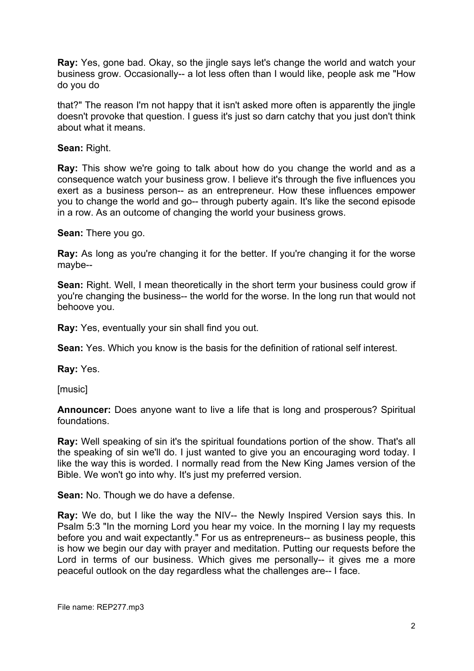**Ray:** Yes, gone bad. Okay, so the jingle says let's change the world and watch your business grow. Occasionally-- a lot less often than I would like, people ask me "How do you do

that?" The reason I'm not happy that it isn't asked more often is apparently the jingle doesn't provoke that question. I guess it's just so darn catchy that you just don't think about what it means.

#### **Sean:** Right.

**Ray:** This show we're going to talk about how do you change the world and as a consequence watch your business grow. I believe it's through the five influences you exert as a business person-- as an entrepreneur. How these influences empower you to change the world and go-- through puberty again. It's like the second episode in a row. As an outcome of changing the world your business grows.

**Sean:** There you go.

**Ray:** As long as you're changing it for the better. If you're changing it for the worse maybe--

**Sean:** Right. Well, I mean theoretically in the short term your business could grow if you're changing the business-- the world for the worse. In the long run that would not behoove you.

**Ray:** Yes, eventually your sin shall find you out.

**Sean:** Yes. Which you know is the basis for the definition of rational self interest.

**Ray:** Yes.

[music]

**Announcer:** Does anyone want to live a life that is long and prosperous? Spiritual foundations.

**Ray:** Well speaking of sin it's the spiritual foundations portion of the show. That's all the speaking of sin we'll do. I just wanted to give you an encouraging word today. I like the way this is worded. I normally read from the New King James version of the Bible. We won't go into why. It's just my preferred version.

**Sean:** No. Though we do have a defense.

**Ray:** We do, but I like the way the NIV-- the Newly Inspired Version says this. In Psalm 5:3 "In the morning Lord you hear my voice. In the morning I lay my requests before you and wait expectantly." For us as entrepreneurs-- as business people, this is how we begin our day with prayer and meditation. Putting our requests before the Lord in terms of our business. Which gives me personally-- it gives me a more peaceful outlook on the day regardless what the challenges are-- I face.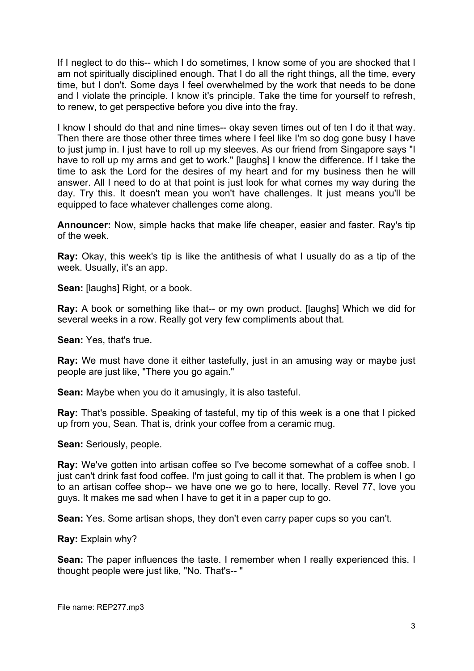If I neglect to do this-- which I do sometimes, I know some of you are shocked that I am not spiritually disciplined enough. That I do all the right things, all the time, every time, but I don't. Some days I feel overwhelmed by the work that needs to be done and I violate the principle. I know it's principle. Take the time for yourself to refresh, to renew, to get perspective before you dive into the fray.

I know I should do that and nine times-- okay seven times out of ten I do it that way. Then there are those other three times where I feel like I'm so dog gone busy I have to just jump in. I just have to roll up my sleeves. As our friend from Singapore says "I have to roll up my arms and get to work." [laughs] I know the difference. If I take the time to ask the Lord for the desires of my heart and for my business then he will answer. All I need to do at that point is just look for what comes my way during the day. Try this. It doesn't mean you won't have challenges. It just means you'll be equipped to face whatever challenges come along.

**Announcer:** Now, simple hacks that make life cheaper, easier and faster. Ray's tip of the week.

**Ray:** Okay, this week's tip is like the antithesis of what I usually do as a tip of the week. Usually, it's an app.

**Sean:** [laughs] Right, or a book.

**Ray:** A book or something like that-- or my own product. [laughs] Which we did for several weeks in a row. Really got very few compliments about that.

**Sean:** Yes, that's true.

**Ray:** We must have done it either tastefully, just in an amusing way or maybe just people are just like, "There you go again."

**Sean:** Maybe when you do it amusingly, it is also tasteful.

**Ray:** That's possible. Speaking of tasteful, my tip of this week is a one that I picked up from you, Sean. That is, drink your coffee from a ceramic mug.

**Sean:** Seriously, people.

**Ray:** We've gotten into artisan coffee so I've become somewhat of a coffee snob. I just can't drink fast food coffee. I'm just going to call it that. The problem is when I go to an artisan coffee shop-- we have one we go to here, locally. Revel 77, love you guys. It makes me sad when I have to get it in a paper cup to go.

**Sean:** Yes. Some artisan shops, they don't even carry paper cups so you can't.

**Ray:** Explain why?

**Sean:** The paper influences the taste. I remember when I really experienced this. I thought people were just like, "No. That's-- "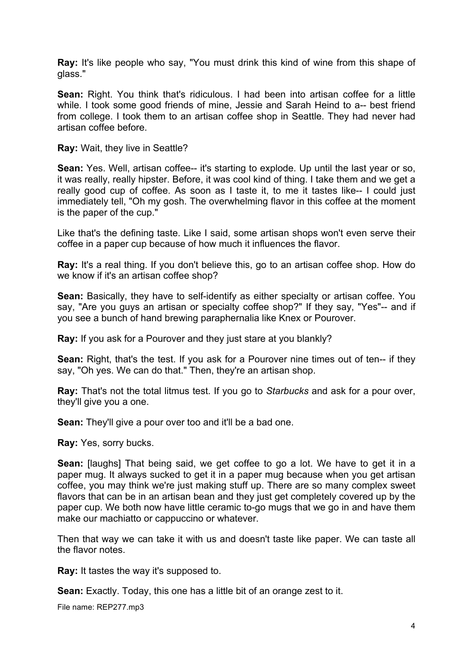**Ray:** It's like people who say, "You must drink this kind of wine from this shape of glass."

**Sean:** Right. You think that's ridiculous. I had been into artisan coffee for a little while. I took some good friends of mine, Jessie and Sarah Heind to a-- best friend from college. I took them to an artisan coffee shop in Seattle. They had never had artisan coffee before.

**Ray:** Wait, they live in Seattle?

**Sean:** Yes. Well, artisan coffee-- it's starting to explode. Up until the last year or so, it was really, really hipster. Before, it was cool kind of thing. I take them and we get a really good cup of coffee. As soon as I taste it, to me it tastes like-- I could just immediately tell, "Oh my gosh. The overwhelming flavor in this coffee at the moment is the paper of the cup."

Like that's the defining taste. Like I said, some artisan shops won't even serve their coffee in a paper cup because of how much it influences the flavor.

**Ray:** It's a real thing. If you don't believe this, go to an artisan coffee shop. How do we know if it's an artisan coffee shop?

**Sean:** Basically, they have to self-identify as either specialty or artisan coffee. You say, "Are you guys an artisan or specialty coffee shop?" If they say, "Yes"-- and if you see a bunch of hand brewing paraphernalia like Knex or Pourover.

**Ray:** If you ask for a Pourover and they just stare at you blankly?

**Sean:** Right, that's the test. If you ask for a Pourover nine times out of ten-- if they say, "Oh yes. We can do that." Then, they're an artisan shop.

**Ray:** That's not the total litmus test. If you go to *Starbucks* and ask for a pour over, they'll give you a one.

**Sean:** They'll give a pour over too and it'll be a bad one.

**Ray:** Yes, sorry bucks.

**Sean:** [laughs] That being said, we get coffee to go a lot. We have to get it in a paper mug. It always sucked to get it in a paper mug because when you get artisan coffee, you may think we're just making stuff up. There are so many complex sweet flavors that can be in an artisan bean and they just get completely covered up by the paper cup. We both now have little ceramic to-go mugs that we go in and have them make our machiatto or cappuccino or whatever.

Then that way we can take it with us and doesn't taste like paper. We can taste all the flavor notes.

**Ray:** It tastes the way it's supposed to.

**Sean:** Exactly. Today, this one has a little bit of an orange zest to it.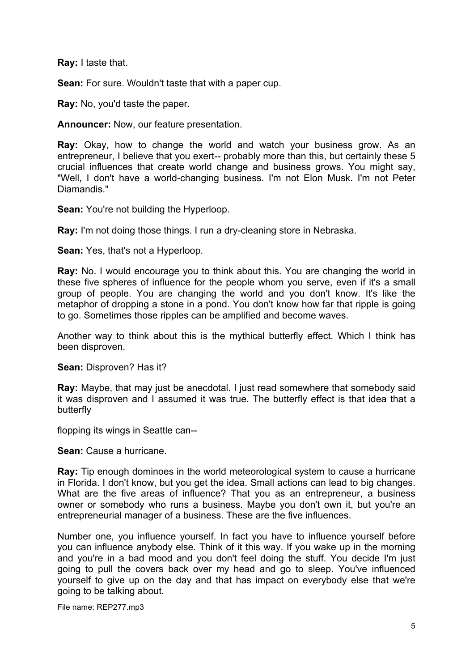**Ray:** I taste that.

**Sean:** For sure. Wouldn't taste that with a paper cup.

**Ray:** No, you'd taste the paper.

**Announcer:** Now, our feature presentation.

**Ray:** Okay, how to change the world and watch your business grow. As an entrepreneur, I believe that you exert-- probably more than this, but certainly these 5 crucial influences that create world change and business grows. You might say, "Well, I don't have a world-changing business. I'm not Elon Musk. I'm not Peter Diamandis."

**Sean: You're not building the Hyperloop.** 

**Ray:** I'm not doing those things. I run a dry-cleaning store in Nebraska.

**Sean: Yes, that's not a Hyperloop.** 

**Ray:** No. I would encourage you to think about this. You are changing the world in these five spheres of influence for the people whom you serve, even if it's a small group of people. You are changing the world and you don't know. It's like the metaphor of dropping a stone in a pond. You don't know how far that ripple is going to go. Sometimes those ripples can be amplified and become waves.

Another way to think about this is the mythical butterfly effect. Which I think has been disproven.

**Sean:** Disproven? Has it?

**Ray:** Maybe, that may just be anecdotal. I just read somewhere that somebody said it was disproven and I assumed it was true. The butterfly effect is that idea that a butterfly

flopping its wings in Seattle can--

**Sean:** Cause a hurricane.

**Ray:** Tip enough dominoes in the world meteorological system to cause a hurricane in Florida. I don't know, but you get the idea. Small actions can lead to big changes. What are the five areas of influence? That you as an entrepreneur, a business owner or somebody who runs a business. Maybe you don't own it, but you're an entrepreneurial manager of a business. These are the five influences.

Number one, you influence yourself. In fact you have to influence yourself before you can influence anybody else. Think of it this way. If you wake up in the morning and you're in a bad mood and you don't feel doing the stuff. You decide I'm just going to pull the covers back over my head and go to sleep. You've influenced yourself to give up on the day and that has impact on everybody else that we're going to be talking about.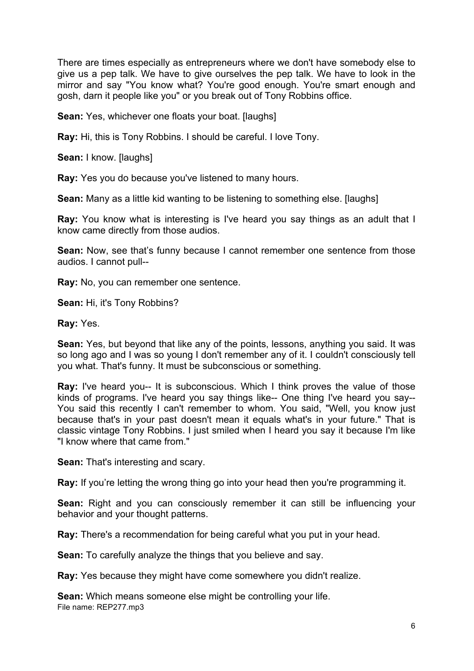There are times especially as entrepreneurs where we don't have somebody else to give us a pep talk. We have to give ourselves the pep talk. We have to look in the mirror and say "You know what? You're good enough. You're smart enough and gosh, darn it people like you" or you break out of Tony Robbins office.

**Sean:** Yes. whichever one floats your boat. [laughs]

**Ray:** Hi, this is Tony Robbins. I should be careful. I love Tony.

**Sean: I know. [laughs]** 

**Ray:** Yes you do because you've listened to many hours.

**Sean:** Many as a little kid wanting to be listening to something else. [laughs]

**Ray:** You know what is interesting is I've heard you say things as an adult that I know came directly from those audios.

**Sean:** Now, see that's funny because I cannot remember one sentence from those audios. I cannot pull--

**Ray:** No, you can remember one sentence.

**Sean: Hi, it's Tony Robbins?** 

**Ray:** Yes.

**Sean:** Yes, but beyond that like any of the points, lessons, anything you said. It was so long ago and I was so young I don't remember any of it. I couldn't consciously tell you what. That's funny. It must be subconscious or something.

**Ray:** I've heard you-- It is subconscious. Which I think proves the value of those kinds of programs. I've heard you say things like-- One thing I've heard you say-- You said this recently I can't remember to whom. You said, "Well, you know just because that's in your past doesn't mean it equals what's in your future." That is classic vintage Tony Robbins. I just smiled when I heard you say it because I'm like "I know where that came from."

**Sean:** That's interesting and scary.

**Ray:** If you're letting the wrong thing go into your head then you're programming it.

**Sean:** Right and you can consciously remember it can still be influencing your behavior and your thought patterns.

**Ray:** There's a recommendation for being careful what you put in your head.

**Sean:** To carefully analyze the things that you believe and say.

**Ray:** Yes because they might have come somewhere you didn't realize.

File name: REP277.mp3 **Sean:** Which means someone else might be controlling your life.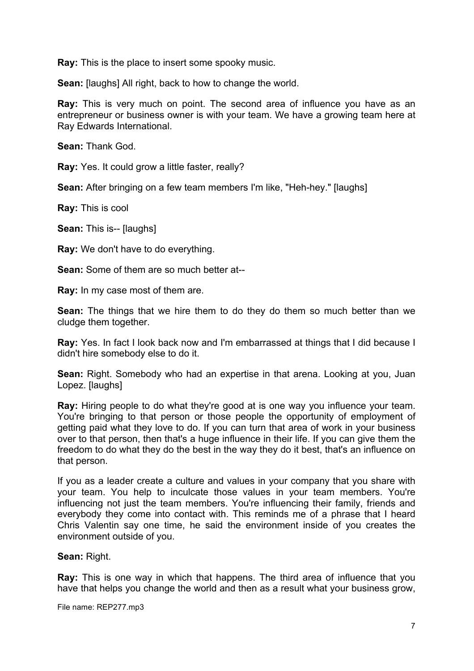**Ray:** This is the place to insert some spooky music.

**Sean:** [laughs] All right, back to how to change the world.

**Ray:** This is very much on point. The second area of influence you have as an entrepreneur or business owner is with your team. We have a growing team here at Ray Edwards International.

**Sean:** Thank God.

**Ray:** Yes. It could grow a little faster, really?

**Sean:** After bringing on a few team members I'm like, "Heh-hey." [laughs]

**Ray:** This is cool

**Sean:** This is-- [laughs]

**Ray:** We don't have to do everything.

**Sean:** Some of them are so much better at--

**Ray:** In my case most of them are.

**Sean:** The things that we hire them to do they do them so much better than we cludge them together.

**Ray:** Yes. In fact I look back now and I'm embarrassed at things that I did because I didn't hire somebody else to do it.

**Sean:** Right. Somebody who had an expertise in that arena. Looking at you, Juan Lopez. [laughs]

**Ray:** Hiring people to do what they're good at is one way you influence your team. You're bringing to that person or those people the opportunity of employment of getting paid what they love to do. If you can turn that area of work in your business over to that person, then that's a huge influence in their life. If you can give them the freedom to do what they do the best in the way they do it best, that's an influence on that person.

If you as a leader create a culture and values in your company that you share with your team. You help to inculcate those values in your team members. You're influencing not just the team members. You're influencing their family, friends and everybody they come into contact with. This reminds me of a phrase that I heard Chris Valentin say one time, he said the environment inside of you creates the environment outside of you.

**Sean:** Right.

**Ray:** This is one way in which that happens. The third area of influence that you have that helps you change the world and then as a result what your business grow,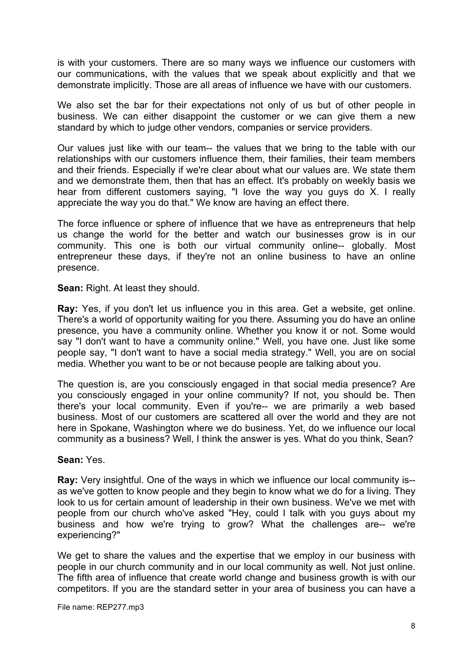is with your customers. There are so many ways we influence our customers with our communications, with the values that we speak about explicitly and that we demonstrate implicitly. Those are all areas of influence we have with our customers.

We also set the bar for their expectations not only of us but of other people in business. We can either disappoint the customer or we can give them a new standard by which to judge other vendors, companies or service providers.

Our values just like with our team-- the values that we bring to the table with our relationships with our customers influence them, their families, their team members and their friends. Especially if we're clear about what our values are. We state them and we demonstrate them, then that has an effect. It's probably on weekly basis we hear from different customers saying, "I love the way you guys do X. I really appreciate the way you do that." We know are having an effect there.

The force influence or sphere of influence that we have as entrepreneurs that help us change the world for the better and watch our businesses grow is in our community. This one is both our virtual community online-- globally. Most entrepreneur these days, if they're not an online business to have an online presence.

**Sean:** Right. At least they should.

**Ray:** Yes, if you don't let us influence you in this area. Get a website, get online. There's a world of opportunity waiting for you there. Assuming you do have an online presence, you have a community online. Whether you know it or not. Some would say "I don't want to have a community online." Well, you have one. Just like some people say, "I don't want to have a social media strategy." Well, you are on social media. Whether you want to be or not because people are talking about you.

The question is, are you consciously engaged in that social media presence? Are you consciously engaged in your online community? If not, you should be. Then there's your local community. Even if you're-- we are primarily a web based business. Most of our customers are scattered all over the world and they are not here in Spokane, Washington where we do business. Yet, do we influence our local community as a business? Well, I think the answer is yes. What do you think, Sean?

#### **Sean:** Yes.

**Ray:** Very insightful. One of the ways in which we influence our local community is- as we've gotten to know people and they begin to know what we do for a living. They look to us for certain amount of leadership in their own business. We've we met with people from our church who've asked "Hey, could I talk with you guys about my business and how we're trying to grow? What the challenges are-- we're experiencing?"

We get to share the values and the expertise that we employ in our business with people in our church community and in our local community as well. Not just online. The fifth area of influence that create world change and business growth is with our competitors. If you are the standard setter in your area of business you can have a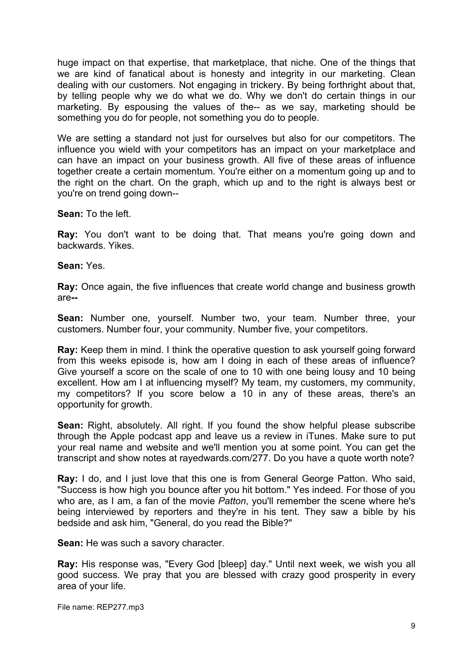huge impact on that expertise, that marketplace, that niche. One of the things that we are kind of fanatical about is honesty and integrity in our marketing. Clean dealing with our customers. Not engaging in trickery. By being forthright about that, by telling people why we do what we do. Why we don't do certain things in our marketing. By espousing the values of the-- as we say, marketing should be something you do for people, not something you do to people.

We are setting a standard not just for ourselves but also for our competitors. The influence you wield with your competitors has an impact on your marketplace and can have an impact on your business growth. All five of these areas of influence together create a certain momentum. You're either on a momentum going up and to the right on the chart. On the graph, which up and to the right is always best or you're on trend going down--

**Sean:** To the left.

**Ray:** You don't want to be doing that. That means you're going down and backwards. Yikes.

**Sean:** Yes.

**Ray:** Once again, the five influences that create world change and business growth are**--**

**Sean:** Number one, yourself. Number two, your team. Number three, your customers. Number four, your community. Number five, your competitors.

**Ray:** Keep them in mind. I think the operative question to ask yourself going forward from this weeks episode is, how am I doing in each of these areas of influence? Give yourself a score on the scale of one to 10 with one being lousy and 10 being excellent. How am I at influencing myself? My team, my customers, my community, my competitors? If you score below a 10 in any of these areas, there's an opportunity for growth.

**Sean:** Right, absolutely. All right. If you found the show helpful please subscribe through the Apple podcast app and leave us a review in iTunes. Make sure to put your real name and website and we'll mention you at some point. You can get the transcript and show notes at rayedwards.com/277. Do you have a quote worth note?

**Ray:** I do, and I just love that this one is from General George Patton. Who said, "Success is how high you bounce after you hit bottom." Yes indeed. For those of you who are, as I am, a fan of the movie *Patton*, you'll remember the scene where he's being interviewed by reporters and they're in his tent. They saw a bible by his bedside and ask him, "General, do you read the Bible?"

**Sean:** He was such a savory character.

**Ray:** His response was, "Every God [bleep] day." Until next week, we wish you all good success. We pray that you are blessed with crazy good prosperity in every area of your life.